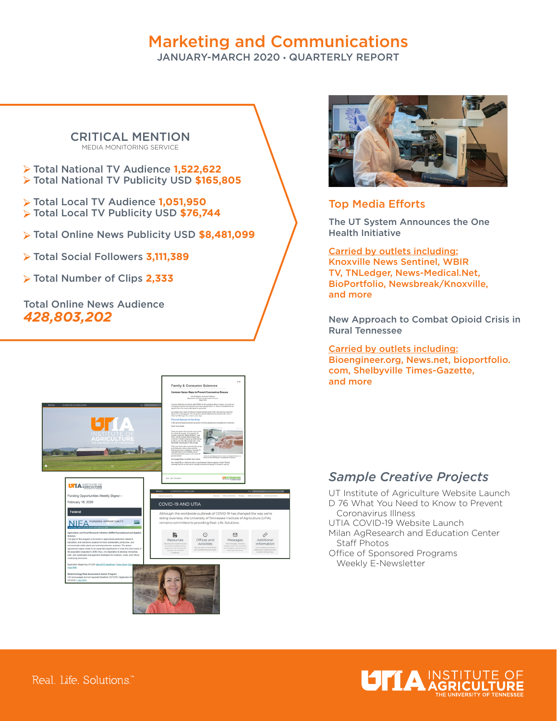# Marketing and Communications

JANUARY-MARCH 2020 • QUARTERLY REPORT

#### CRITICAL MENTION MEDIA MONITORING SERVICE

- Total National TV Audience **1,522,622**  Total National TV Publicity USD **\$165,805**
- Total Local TV Audience **1,051,950**  Total Local TV Publicity USD **\$76,744**
- Total Online News Publicity USD **\$8,481,099**
- Total Social Followers **3,111,389**
- Total Number of Clips **2,333**

### Total Online News Audience *428,803,202*





### Top Media Efforts

The UT System Announces the One Health Initiative

Carried by outlets including: Knoxville News Sentinel, WBIR TV, TNLedger, News-Medical.Net, BioPortfolio, Newsbreak/Knoxville, and more

New Approach to Combat Opioid Crisis in Rural Tennessee

Carried by outlets including: Bioengineer.org, News.net, bioportfolio. com, Shelbyville Times-Gazette, and more

### *Sample Creative Projects*

UT Institute of Agriculture Website Launch D 76 What You Need to Know to Prevent Coronavirus Illness

- UTIA COVID-19 Website Launch Milan AgResearch and Education Center Staff Photos
- Office of Sponsored Programs Weekly E-Newsletter